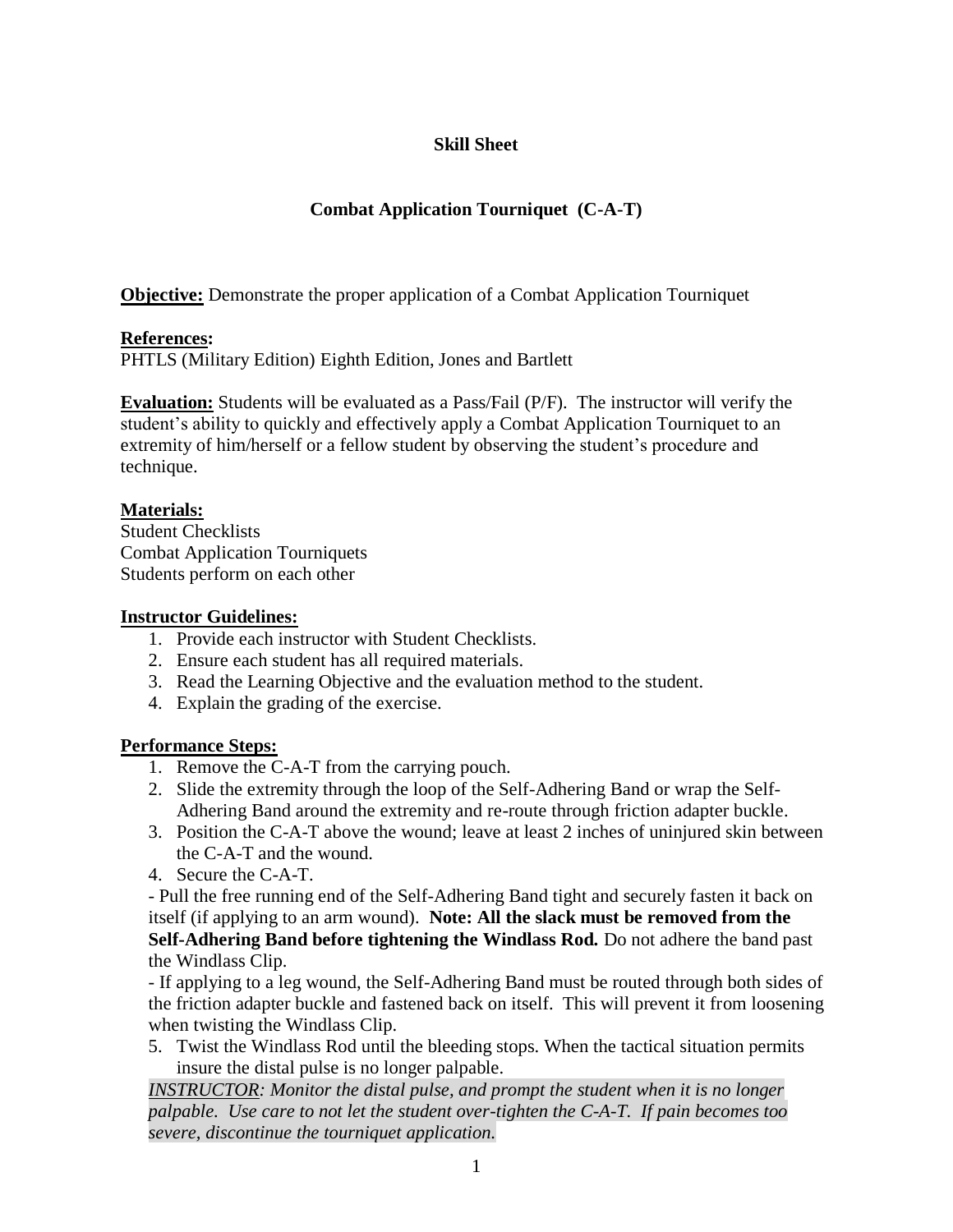# **Skill Sheet**

# **Combat Application Tourniquet (C-A-T)**

**Objective:** Demonstrate the proper application of a Combat Application Tourniquet

### **References:**

PHTLS (Military Edition) Eighth Edition, Jones and Bartlett

**Evaluation:** Students will be evaluated as a Pass/Fail (P/F). The instructor will verify the student's ability to quickly and effectively apply a Combat Application Tourniquet to an extremity of him/herself or a fellow student by observing the student's procedure and technique.

## **Materials:**

Student Checklists Combat Application Tourniquets Students perform on each other

#### **Instructor Guidelines:**

- 1. Provide each instructor with Student Checklists.
- 2. Ensure each student has all required materials.
- 3. Read the Learning Objective and the evaluation method to the student.
- 4. Explain the grading of the exercise.

## **Performance Steps:**

- 1. Remove the C-A-T from the carrying pouch.
- 2. Slide the extremity through the loop of the Self-Adhering Band or wrap the Self-Adhering Band around the extremity and re-route through friction adapter buckle.
- 3. Position the C-A-T above the wound; leave at least 2 inches of uninjured skin between the C-A-T and the wound.
- 4. Secure the C-A-T.

- Pull the free running end of the Self-Adhering Band tight and securely fasten it back on itself (if applying to an arm wound). **Note: All the slack must be removed from the Self-Adhering Band before tightening the Windlass Rod.** Do not adhere the band past the Windlass Clip.

- If applying to a leg wound, the Self-Adhering Band must be routed through both sides of the friction adapter buckle and fastened back on itself. This will prevent it from loosening when twisting the Windlass Clip.

5. Twist the Windlass Rod until the bleeding stops. When the tactical situation permits insure the distal pulse is no longer palpable.

*INSTRUCTOR: Monitor the distal pulse, and prompt the student when it is no longer palpable. Use care to not let the student over-tighten the C-A-T. If pain becomes too severe, discontinue the tourniquet application.*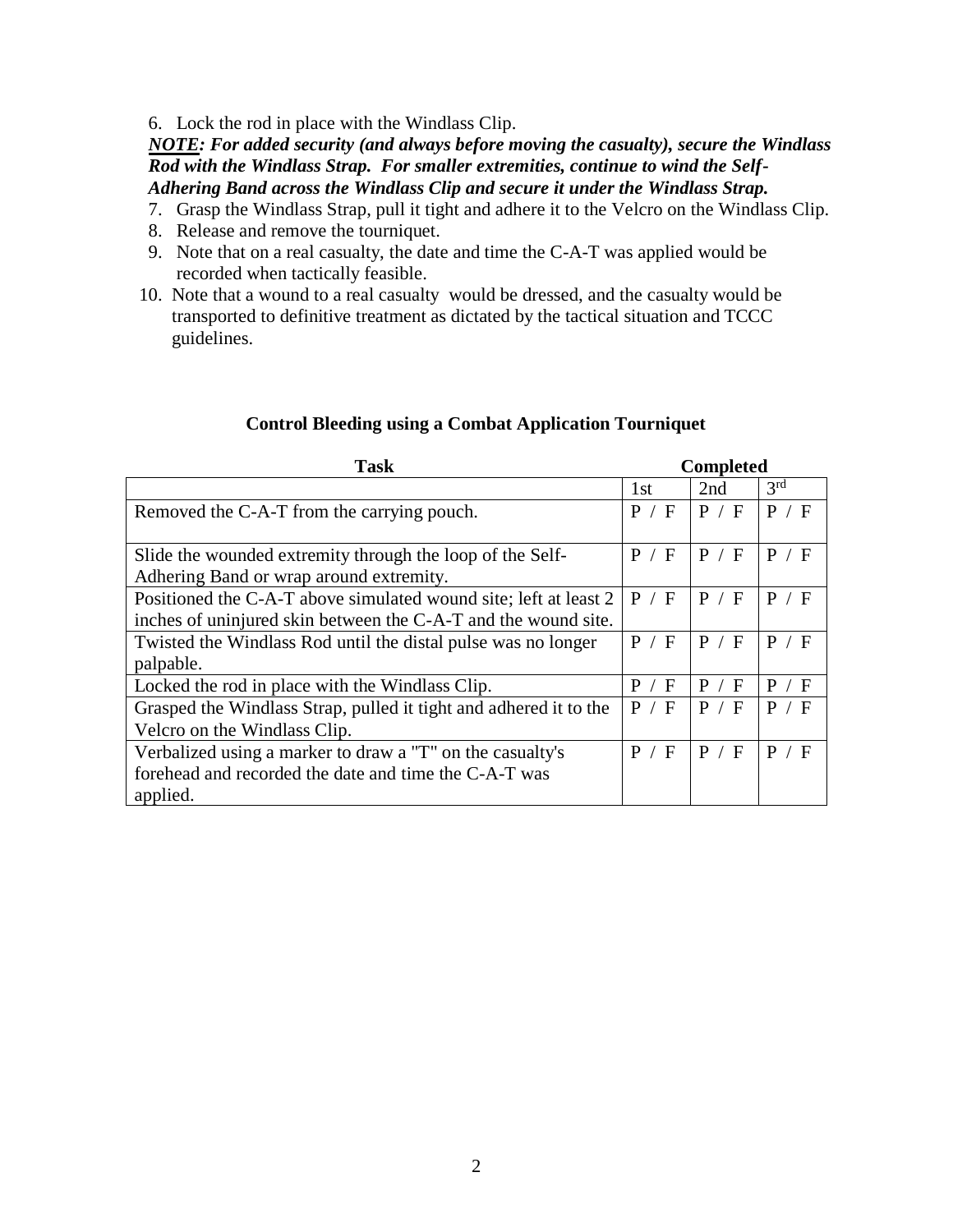6. Lock the rod in place with the Windlass Clip.

*NOTE: For added security (and always before moving the casualty), secure the Windlass Rod with the Windlass Strap. For smaller extremities, continue to wind the Self-Adhering Band across the Windlass Clip and secure it under the Windlass Strap.*

- 7. Grasp the Windlass Strap, pull it tight and adhere it to the Velcro on the Windlass Clip.
- 8. Release and remove the tourniquet.
- 9. Note that on a real casualty, the date and time the C-A-T was applied would be recorded when tactically feasible.
- 10. Note that a wound to a real casualty would be dressed, and the casualty would be transported to definitive treatment as dictated by the tactical situation and TCCC guidelines.

| <b>Task</b>                                                       | <b>Completed</b> |         |                 |
|-------------------------------------------------------------------|------------------|---------|-----------------|
|                                                                   | 1 <sub>st</sub>  | 2nd     | 3 <sup>rd</sup> |
| Removed the C-A-T from the carrying pouch.                        | P / F            | P / F   | P / F           |
|                                                                   |                  |         |                 |
| Slide the wounded extremity through the loop of the Self-         | P<br>/ F         | P / F   | P<br>/ F        |
| Adhering Band or wrap around extremity.                           |                  |         |                 |
| Positioned the C-A-T above simulated wound site; left at least 2  | P / F            | P / F   | / F<br>P        |
| inches of uninjured skin between the C-A-T and the wound site.    |                  |         |                 |
| Twisted the Windlass Rod until the distal pulse was no longer     | P / F            | P / F   | P / F           |
| palpable.                                                         |                  |         |                 |
| Locked the rod in place with the Windlass Clip.                   | P<br>F           | P.<br>F | / F<br>P        |
| Grasped the Windlass Strap, pulled it tight and adhered it to the | P / F            | P / F   | P / F           |
| Velcro on the Windlass Clip.                                      |                  |         |                 |
| Verbalized using a marker to draw a "T" on the casualty's         | P<br>/ F         | P / F   | P / F           |
| forehead and recorded the date and time the C-A-T was             |                  |         |                 |
| applied.                                                          |                  |         |                 |

#### **Control Bleeding using a Combat Application Tourniquet**